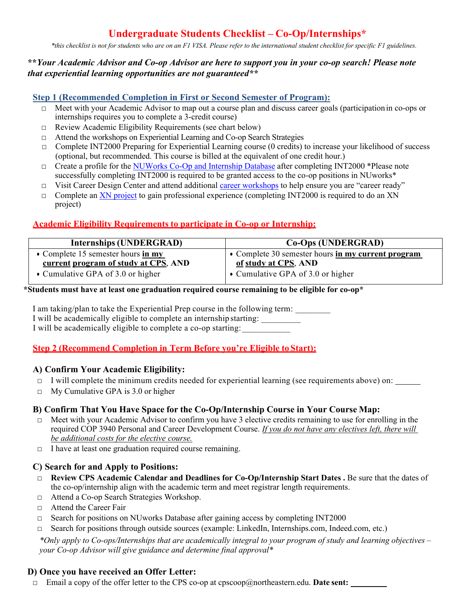# **Undergraduate Students Checklist – Co-Op/Internships\***

\*this checklist is not for students who are on an F1 VISA. Please refer to the international student checklist for specific F1 guidelines.

#### **\*\****Your Academic Advisor and Co-op Advisor are here to support you in your co-op search! Please note that experiential learning opportunities are not guaranteed\*\**

### **Step 1 (Recommended Completion in First or Second Semester of Program):**

- □ Meet with your Academic Advisor to map out a course plan and discuss career goals (participation in co-ops or internships requires you to complete a 3-credit course)
- $\Box$  Review Academic Eligibility Requirements (see chart below)
- □ Attend the workshops on Experiential Learning and Co-op Search Strategies
- □ Complete INT2000 Preparing for Experiential Learning course (0 credits) to increase your likelihood of success (optional, but recommended. This course is billed at the equivalent of one credit hour.)
- □ Create a profile for the NUWorks Co-Op and Internship Database after completing INT2000 \*Please note successfully completing INT2000 is required to be granted access to the co-op positions in NUworks\*
- □ Visit Career Design Center and attend additional career workshops to help ensure you are "career ready"
- □ Complete an XN project to gain professional experience (completing INT2000 is required to do an XN project)

# **Academic Eligibility Requirements to participate in Co-op or Internship:**

| <b>Internships (UNDERGRAD)</b>                                   | <b>Co-Ops (UNDERGRAD)</b>                          |
|------------------------------------------------------------------|----------------------------------------------------|
| • Complete 15 semester hours $\frac{\text{in } m}{\text{in } m}$ | • Complete 30 semester hours in my current program |
| current program of study at CPS, AND                             | of study at CPS, AND                               |
| • Cumulative GPA of 3.0 or higher                                | • Cumulative GPA of 3.0 or higher                  |

# **\*Students must have at least one graduation required course remaining to be eligible for co-op\***

I am taking/plan to take the Experiential Prep course in the following term: I will be academically eligible to complete an internship starting: I will be academically eligible to complete a co-op starting:

# **Step 2 (Recommend Completion in Term Before you're Eligible toStart):**

#### **A) Confirm Your Academic Eligibility:**

- $\Box$  I will complete the minimum credits needed for experiential learning (see requirements above) on:
- $\Box$  My Cumulative GPA is 3.0 or higher

# **B) Confirm That You Have Space for the Co-Op/Internship Course in Your Course Map:**

- $\Box$  Meet with your Academic Advisor to confirm you have 3 elective credits remaining to use for enrolling in the required COP 3940 Personal and Career Development Course. *If you do not have any electives left, there will be additional costs for the elective course.*
- $\Box$  I have at least one graduation required course remaining.

#### **C) Search for and Apply to Positions:**

- □ **Review CPS Academic Calendar and Deadlines for Co-Op/Internship Start Dates .** Be sure that the dates of the co-op/internship align with the academic term and meet registrar length requirements.
- □ Attend a Co-op Search Strategies Workshop.
- □ Attend the Career Fair
- $\Box$  Search for positions on NUworks Database after gaining access by completing INT2000
- $\Box$  Search for positions through outside sources (example: LinkedIn, Internships.com, Indeed.com, etc.)

*\*Only apply to Co-ops/Internships that are academically integral to your program of study and learning objectives – your Co-op Advisor will give guidance and determine final approval\**

#### **D) Once you have received an Offer Letter:**

□ Email a copy of the offer letter to the CPS co-op at cpscoop@northeastern.edu. **Date sent: \_\_\_**